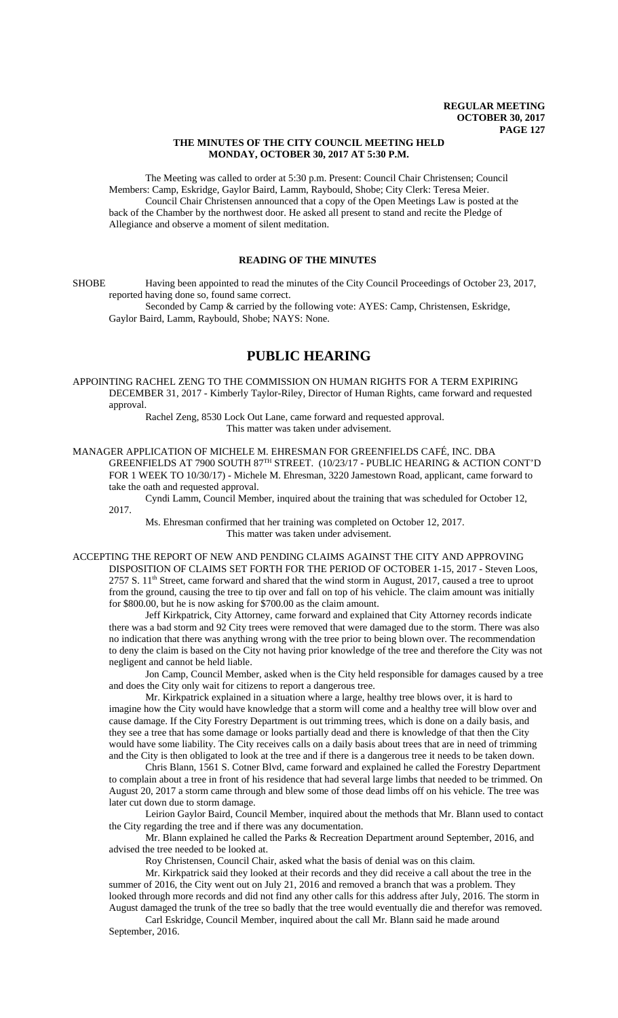### **THE MINUTES OF THE CITY COUNCIL MEETING HELD MONDAY, OCTOBER 30, 2017 AT 5:30 P.M.**

The Meeting was called to order at 5:30 p.m. Present: Council Chair Christensen; Council Members: Camp, Eskridge, Gaylor Baird, Lamm, Raybould, Shobe; City Clerk: Teresa Meier. Council Chair Christensen announced that a copy of the Open Meetings Law is posted at the back of the Chamber by the northwest door. He asked all present to stand and recite the Pledge of Allegiance and observe a moment of silent meditation.

# **READING OF THE MINUTES**

SHOBE Having been appointed to read the minutes of the City Council Proceedings of October 23, 2017, reported having done so, found same correct.

Seconded by Camp & carried by the following vote: AYES: Camp, Christensen, Eskridge, Gaylor Baird, Lamm, Raybould, Shobe; NAYS: None.

# **PUBLIC HEARING**

APPOINTING RACHEL ZENG TO THE COMMISSION ON HUMAN RIGHTS FOR A TERM EXPIRING DECEMBER 31, 2017 - Kimberly Taylor-Riley, Director of Human Rights, came forward and requested approval.

Rachel Zeng, 8530 Lock Out Lane, came forward and requested approval. This matter was taken under advisement.

MANAGER APPLICATION OF MICHELE M. EHRESMAN FOR GREENFIELDS CAFÉ, INC. DBA GREENFIELDS AT 7900 SOUTH 87TH STREET. (10/23/17 - PUBLIC HEARING & ACTION CONT'D FOR 1 WEEK TO 10/30/17) - Michele M. Ehresman, 3220 Jamestown Road, applicant, came forward to take the oath and requested approval.

Cyndi Lamm, Council Member, inquired about the training that was scheduled for October 12, 2017.

Ms. Ehresman confirmed that her training was completed on October 12, 2017. This matter was taken under advisement.

ACCEPTING THE REPORT OF NEW AND PENDING CLAIMS AGAINST THE CITY AND APPROVING DISPOSITION OF CLAIMS SET FORTH FOR THE PERIOD OF OCTOBER 1-15, 2017 - Steven Loos,  $2757 S$ . 11<sup>th</sup> Street, came forward and shared that the wind storm in August, 2017, caused a tree to uproot from the ground, causing the tree to tip over and fall on top of his vehicle. The claim amount was initially for \$800.00, but he is now asking for \$700.00 as the claim amount.

Jeff Kirkpatrick, City Attorney, came forward and explained that City Attorney records indicate there was a bad storm and 92 City trees were removed that were damaged due to the storm. There was also no indication that there was anything wrong with the tree prior to being blown over. The recommendation to deny the claim is based on the City not having prior knowledge of the tree and therefore the City was not negligent and cannot be held liable.

Jon Camp, Council Member, asked when is the City held responsible for damages caused by a tree and does the City only wait for citizens to report a dangerous tree.

Mr. Kirkpatrick explained in a situation where a large, healthy tree blows over, it is hard to imagine how the City would have knowledge that a storm will come and a healthy tree will blow over and cause damage. If the City Forestry Department is out trimming trees, which is done on a daily basis, and they see a tree that has some damage or looks partially dead and there is knowledge of that then the City would have some liability. The City receives calls on a daily basis about trees that are in need of trimming and the City is then obligated to look at the tree and if there is a dangerous tree it needs to be taken down.

Chris Blann, 1561 S. Cotner Blvd, came forward and explained he called the Forestry Department to complain about a tree in front of his residence that had several large limbs that needed to be trimmed. On August 20, 2017 a storm came through and blew some of those dead limbs off on his vehicle. The tree was later cut down due to storm damage.

Leirion Gaylor Baird, Council Member, inquired about the methods that Mr. Blann used to contact the City regarding the tree and if there was any documentation.

Mr. Blann explained he called the Parks & Recreation Department around September, 2016, and advised the tree needed to be looked at.

Roy Christensen, Council Chair, asked what the basis of denial was on this claim.

Mr. Kirkpatrick said they looked at their records and they did receive a call about the tree in the summer of 2016, the City went out on July 21, 2016 and removed a branch that was a problem. They looked through more records and did not find any other calls for this address after July, 2016. The storm in August damaged the trunk of the tree so badly that the tree would eventually die and therefor was removed.

Carl Eskridge, Council Member, inquired about the call Mr. Blann said he made around September, 2016.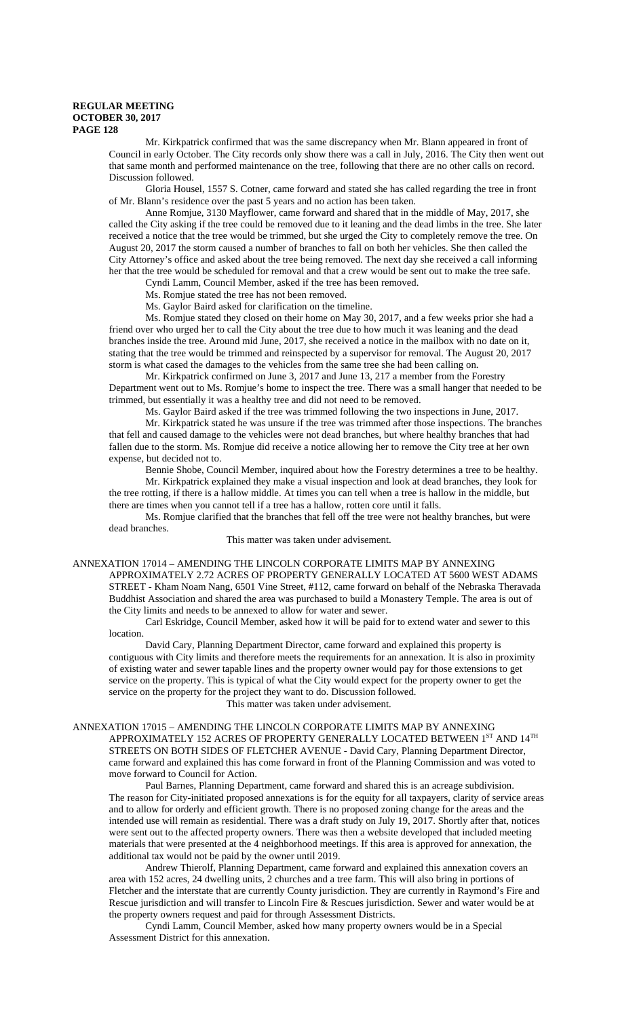Mr. Kirkpatrick confirmed that was the same discrepancy when Mr. Blann appeared in front of Council in early October. The City records only show there was a call in July, 2016. The City then went out that same month and performed maintenance on the tree, following that there are no other calls on record. Discussion followed.

Gloria Housel, 1557 S. Cotner, came forward and stated she has called regarding the tree in front of Mr. Blann's residence over the past 5 years and no action has been taken.

Anne Romjue, 3130 Mayflower, came forward and shared that in the middle of May, 2017, she called the City asking if the tree could be removed due to it leaning and the dead limbs in the tree. She later received a notice that the tree would be trimmed, but she urged the City to completely remove the tree. On August 20, 2017 the storm caused a number of branches to fall on both her vehicles. She then called the City Attorney's office and asked about the tree being removed. The next day she received a call informing her that the tree would be scheduled for removal and that a crew would be sent out to make the tree safe.

Cyndi Lamm, Council Member, asked if the tree has been removed.

Ms. Romjue stated the tree has not been removed. Ms. Gaylor Baird asked for clarification on the timeline.

Ms. Romjue stated they closed on their home on May 30, 2017, and a few weeks prior she had a friend over who urged her to call the City about the tree due to how much it was leaning and the dead branches inside the tree. Around mid June, 2017, she received a notice in the mailbox with no date on it, stating that the tree would be trimmed and reinspected by a supervisor for removal. The August 20, 2017 storm is what cased the damages to the vehicles from the same tree she had been calling on.

Mr. Kirkpatrick confirmed on June 3, 2017 and June 13, 217 a member from the Forestry Department went out to Ms. Romjue's home to inspect the tree. There was a small hanger that needed to be trimmed, but essentially it was a healthy tree and did not need to be removed.

Ms. Gaylor Baird asked if the tree was trimmed following the two inspections in June, 2017.

Mr. Kirkpatrick stated he was unsure if the tree was trimmed after those inspections. The branches that fell and caused damage to the vehicles were not dead branches, but where healthy branches that had fallen due to the storm. Ms. Romjue did receive a notice allowing her to remove the City tree at her own expense, but decided not to.

Bennie Shobe, Council Member, inquired about how the Forestry determines a tree to be healthy. Mr. Kirkpatrick explained they make a visual inspection and look at dead branches, they look for the tree rotting, if there is a hallow middle. At times you can tell when a tree is hallow in the middle, but there are times when you cannot tell if a tree has a hallow, rotten core until it falls.

Ms. Romjue clarified that the branches that fell off the tree were not healthy branches, but were dead branches.

#### This matter was taken under advisement.

ANNEXATION 17014 – AMENDING THE LINCOLN CORPORATE LIMITS MAP BY ANNEXING APPROXIMATELY 2.72 ACRES OF PROPERTY GENERALLY LOCATED AT 5600 WEST ADAMS STREET - Kham Noam Nang, 6501 Vine Street, #112, came forward on behalf of the Nebraska Theravada Buddhist Association and shared the area was purchased to build a Monastery Temple. The area is out of the City limits and needs to be annexed to allow for water and sewer.

Carl Eskridge, Council Member, asked how it will be paid for to extend water and sewer to this location.

David Cary, Planning Department Director, came forward and explained this property is contiguous with City limits and therefore meets the requirements for an annexation. It is also in proximity of existing water and sewer tapable lines and the property owner would pay for those extensions to get service on the property. This is typical of what the City would expect for the property owner to get the service on the property for the project they want to do. Discussion followed.

## This matter was taken under advisement.

### ANNEXATION 17015 – AMENDING THE LINCOLN CORPORATE LIMITS MAP BY ANNEXING APPROXIMATELY 152 ACRES OF PROPERTY GENERALLY LOCATED BETWEEN  $1^{\mathrm{ST}}$  AND  $14^{\mathrm{TH}}$ STREETS ON BOTH SIDES OF FLETCHER AVENUE - David Cary, Planning Department Director, came forward and explained this has come forward in front of the Planning Commission and was voted to move forward to Council for Action.

Paul Barnes, Planning Department, came forward and shared this is an acreage subdivision. The reason for City-initiated proposed annexations is for the equity for all taxpayers, clarity of service areas and to allow for orderly and efficient growth. There is no proposed zoning change for the areas and the intended use will remain as residential. There was a draft study on July 19, 2017. Shortly after that, notices were sent out to the affected property owners. There was then a website developed that included meeting materials that were presented at the 4 neighborhood meetings. If this area is approved for annexation, the additional tax would not be paid by the owner until 2019.

Andrew Thierolf, Planning Department, came forward and explained this annexation covers an area with 152 acres, 24 dwelling units, 2 churches and a tree farm. This will also bring in portions of Fletcher and the interstate that are currently County jurisdiction. They are currently in Raymond's Fire and Rescue jurisdiction and will transfer to Lincoln Fire & Rescues jurisdiction. Sewer and water would be at the property owners request and paid for through Assessment Districts.

Cyndi Lamm, Council Member, asked how many property owners would be in a Special Assessment District for this annexation.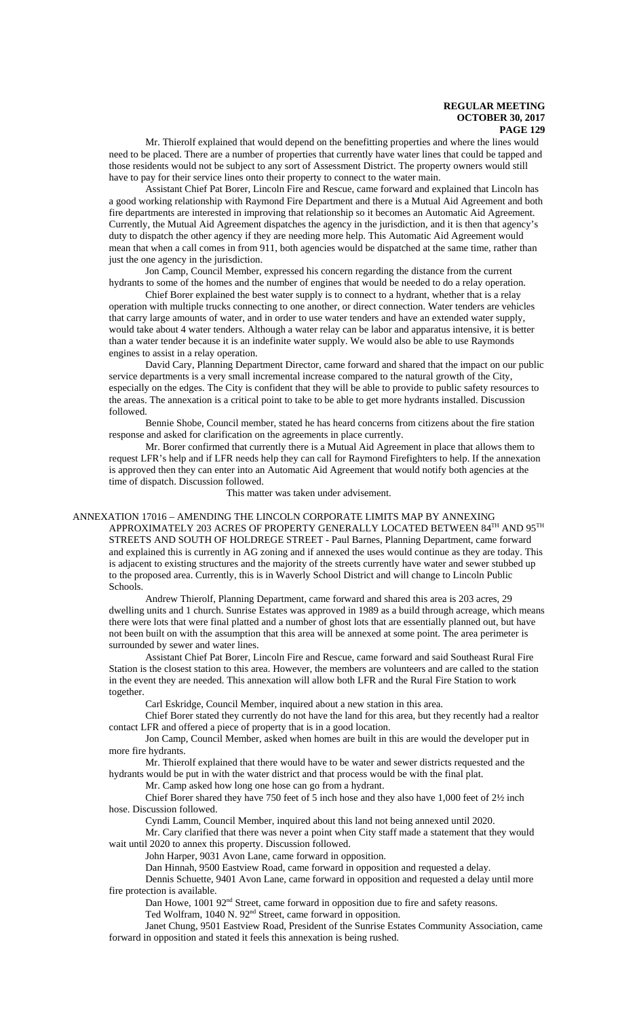Mr. Thierolf explained that would depend on the benefitting properties and where the lines would need to be placed. There are a number of properties that currently have water lines that could be tapped and those residents would not be subject to any sort of Assessment District. The property owners would still have to pay for their service lines onto their property to connect to the water main.

Assistant Chief Pat Borer, Lincoln Fire and Rescue, came forward and explained that Lincoln has a good working relationship with Raymond Fire Department and there is a Mutual Aid Agreement and both fire departments are interested in improving that relationship so it becomes an Automatic Aid Agreement. Currently, the Mutual Aid Agreement dispatches the agency in the jurisdiction, and it is then that agency's duty to dispatch the other agency if they are needing more help. This Automatic Aid Agreement would mean that when a call comes in from 911, both agencies would be dispatched at the same time, rather than just the one agency in the jurisdiction.

Jon Camp, Council Member, expressed his concern regarding the distance from the current hydrants to some of the homes and the number of engines that would be needed to do a relay operation.

Chief Borer explained the best water supply is to connect to a hydrant, whether that is a relay operation with multiple trucks connecting to one another, or direct connection. Water tenders are vehicles that carry large amounts of water, and in order to use water tenders and have an extended water supply, would take about 4 water tenders. Although a water relay can be labor and apparatus intensive, it is better than a water tender because it is an indefinite water supply. We would also be able to use Raymonds engines to assist in a relay operation.

David Cary, Planning Department Director, came forward and shared that the impact on our public service departments is a very small incremental increase compared to the natural growth of the City, especially on the edges. The City is confident that they will be able to provide to public safety resources to the areas. The annexation is a critical point to take to be able to get more hydrants installed. Discussion followed.

Bennie Shobe, Council member, stated he has heard concerns from citizens about the fire station response and asked for clarification on the agreements in place currently.

Mr. Borer confirmed that currently there is a Mutual Aid Agreement in place that allows them to request LFR's help and if LFR needs help they can call for Raymond Firefighters to help. If the annexation is approved then they can enter into an Automatic Aid Agreement that would notify both agencies at the time of dispatch. Discussion followed.

This matter was taken under advisement.

### ANNEXATION 17016 – AMENDING THE LINCOLN CORPORATE LIMITS MAP BY ANNEXING APPROXIMATELY 203 ACRES OF PROPERTY GENERALLY LOCATED BETWEEN  $84^{\mathrm{TH}}$  AND  $95^{\mathrm{TH}}$ STREETS AND SOUTH OF HOLDREGE STREET - Paul Barnes, Planning Department, came forward and explained this is currently in AG zoning and if annexed the uses would continue as they are today. This is adjacent to existing structures and the majority of the streets currently have water and sewer stubbed up to the proposed area. Currently, this is in Waverly School District and will change to Lincoln Public Schools.

Andrew Thierolf, Planning Department, came forward and shared this area is 203 acres, 29 dwelling units and 1 church. Sunrise Estates was approved in 1989 as a build through acreage, which means there were lots that were final platted and a number of ghost lots that are essentially planned out, but have not been built on with the assumption that this area will be annexed at some point. The area perimeter is surrounded by sewer and water lines.

Assistant Chief Pat Borer, Lincoln Fire and Rescue, came forward and said Southeast Rural Fire Station is the closest station to this area. However, the members are volunteers and are called to the station in the event they are needed. This annexation will allow both LFR and the Rural Fire Station to work together.

Carl Eskridge, Council Member, inquired about a new station in this area.

Chief Borer stated they currently do not have the land for this area, but they recently had a realtor contact LFR and offered a piece of property that is in a good location.

Jon Camp, Council Member, asked when homes are built in this are would the developer put in more fire hydrants.

Mr. Thierolf explained that there would have to be water and sewer districts requested and the hydrants would be put in with the water district and that process would be with the final plat.

Mr. Camp asked how long one hose can go from a hydrant.

Chief Borer shared they have 750 feet of 5 inch hose and they also have 1,000 feet of 2½ inch hose. Discussion followed.

Cyndi Lamm, Council Member, inquired about this land not being annexed until 2020.

Mr. Cary clarified that there was never a point when City staff made a statement that they would wait until 2020 to annex this property. Discussion followed.

John Harper, 9031 Avon Lane, came forward in opposition.

Dan Hinnah, 9500 Eastview Road, came forward in opposition and requested a delay.

Dennis Schuette, 9401 Avon Lane, came forward in opposition and requested a delay until more fire protection is available.

Dan Howe, 1001 92<sup>nd</sup> Street, came forward in opposition due to fire and safety reasons.

Ted Wolfram, 1040 N. 92<sup>nd</sup> Street, came forward in opposition.

Janet Chung, 9501 Eastview Road, President of the Sunrise Estates Community Association, came forward in opposition and stated it feels this annexation is being rushed.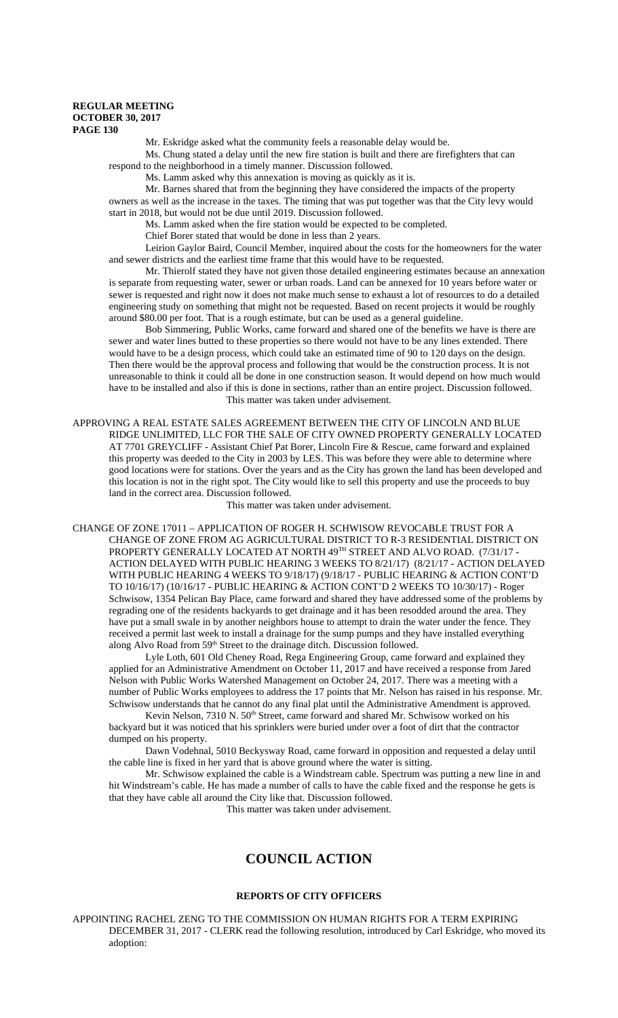Mr. Eskridge asked what the community feels a reasonable delay would be.

Ms. Chung stated a delay until the new fire station is built and there are firefighters that can respond to the neighborhood in a timely manner. Discussion followed.

Ms. Lamm asked why this annexation is moving as quickly as it is.

Mr. Barnes shared that from the beginning they have considered the impacts of the property owners as well as the increase in the taxes. The timing that was put together was that the City levy would start in 2018, but would not be due until 2019. Discussion followed.

Ms. Lamm asked when the fire station would be expected to be completed.

Chief Borer stated that would be done in less than 2 years.

Leirion Gaylor Baird, Council Member, inquired about the costs for the homeowners for the water and sewer districts and the earliest time frame that this would have to be requested.

Mr. Thierolf stated they have not given those detailed engineering estimates because an annexation is separate from requesting water, sewer or urban roads. Land can be annexed for 10 years before water or sewer is requested and right now it does not make much sense to exhaust a lot of resources to do a detailed engineering study on something that might not be requested. Based on recent projects it would be roughly around \$80.00 per foot. That is a rough estimate, but can be used as a general guideline.

Bob Simmering, Public Works, came forward and shared one of the benefits we have is there are sewer and water lines butted to these properties so there would not have to be any lines extended. There would have to be a design process, which could take an estimated time of 90 to 120 days on the design. Then there would be the approval process and following that would be the construction process. It is not unreasonable to think it could all be done in one construction season. It would depend on how much would have to be installed and also if this is done in sections, rather than an entire project. Discussion followed. This matter was taken under advisement.

APPROVING A REAL ESTATE SALES AGREEMENT BETWEEN THE CITY OF LINCOLN AND BLUE RIDGE UNLIMITED, LLC FOR THE SALE OF CITY OWNED PROPERTY GENERALLY LOCATED AT 7701 GREYCLIFF - Assistant Chief Pat Borer, Lincoln Fire & Rescue, came forward and explained this property was deeded to the City in 2003 by LES. This was before they were able to determine where good locations were for stations. Over the years and as the City has grown the land has been developed and this location is not in the right spot. The City would like to sell this property and use the proceeds to buy land in the correct area. Discussion followed.

This matter was taken under advisement.

CHANGE OF ZONE 17011 – APPLICATION OF ROGER H. SCHWISOW REVOCABLE TRUST FOR A CHANGE OF ZONE FROM AG AGRICULTURAL DISTRICT TO R-3 RESIDENTIAL DISTRICT ON PROPERTY GENERALLY LOCATED AT NORTH 49TH STREET AND ALVO ROAD. (7/31/17 -ACTION DELAYED WITH PUBLIC HEARING 3 WEEKS TO 8/21/17) (8/21/17 - ACTION DELAYED WITH PUBLIC HEARING 4 WEEKS TO 9/18/17) (9/18/17 - PUBLIC HEARING & ACTION CONT'D TO 10/16/17) (10/16/17 - PUBLIC HEARING & ACTION CONT'D 2 WEEKS TO 10/30/17) - Roger Schwisow, 1354 Pelican Bay Place, came forward and shared they have addressed some of the problems by regrading one of the residents backyards to get drainage and it has been resodded around the area. They have put a small swale in by another neighbors house to attempt to drain the water under the fence. They received a permit last week to install a drainage for the sump pumps and they have installed everything along Alvo Road from 59<sup>th</sup> Street to the drainage ditch. Discussion followed.

Lyle Loth, 601 Old Cheney Road, Rega Engineering Group, came forward and explained they applied for an Administrative Amendment on October 11, 2017 and have received a response from Jared Nelson with Public Works Watershed Management on October 24, 2017. There was a meeting with a number of Public Works employees to address the 17 points that Mr. Nelson has raised in his response. Mr. Schwisow understands that he cannot do any final plat until the Administrative Amendment is approved.

Kevin Nelson, 7310 N. 50<sup>th</sup> Street, came forward and shared Mr. Schwisow worked on his backyard but it was noticed that his sprinklers were buried under over a foot of dirt that the contractor dumped on his property.

Dawn Vodehnal, 5010 Beckysway Road, came forward in opposition and requested a delay until the cable line is fixed in her yard that is above ground where the water is sitting.

Mr. Schwisow explained the cable is a Windstream cable. Spectrum was putting a new line in and hit Windstream's cable. He has made a number of calls to have the cable fixed and the response he gets is that they have cable all around the City like that. Discussion followed.

This matter was taken under advisement.

# **COUNCIL ACTION**

## **REPORTS OF CITY OFFICERS**

APPOINTING RACHEL ZENG TO THE COMMISSION ON HUMAN RIGHTS FOR A TERM EXPIRING DECEMBER 31, 2017 - CLERK read the following resolution, introduced by Carl Eskridge, who moved its adoption: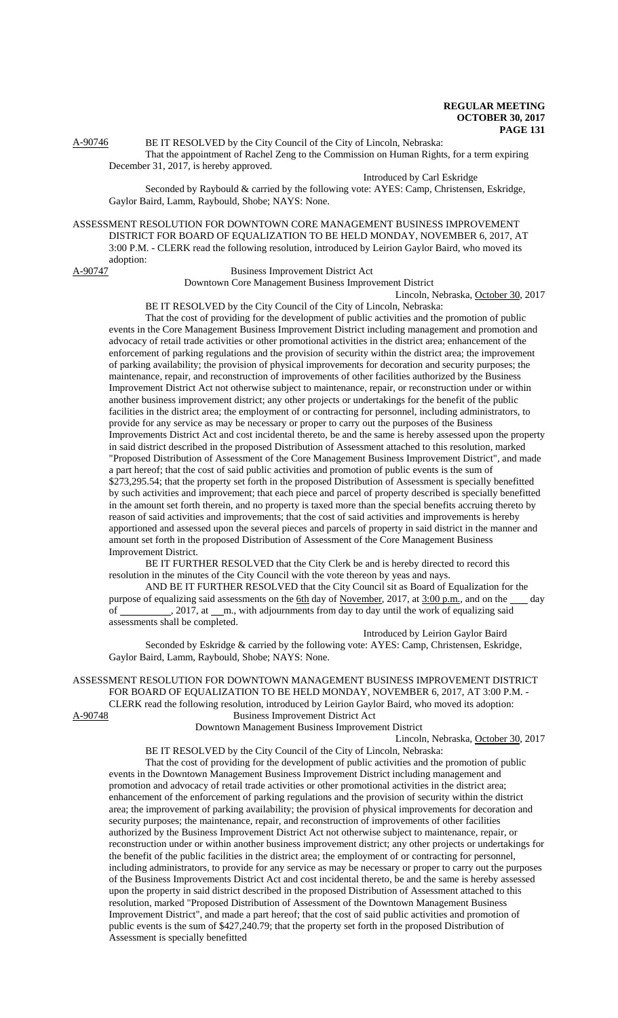A-90746 BE IT RESOLVED by the City Council of the City of Lincoln, Nebraska: That the appointment of Rachel Zeng to the Commission on Human Rights, for a term expiring

December 31, 2017, is hereby approved.

Introduced by Carl Eskridge

Seconded by Raybould & carried by the following vote: AYES: Camp, Christensen, Eskridge, Gaylor Baird, Lamm, Raybould, Shobe; NAYS: None.

ASSESSMENT RESOLUTION FOR DOWNTOWN CORE MANAGEMENT BUSINESS IMPROVEMENT DISTRICT FOR BOARD OF EQUALIZATION TO BE HELD MONDAY, NOVEMBER 6, 2017, AT 3:00 P.M. - CLERK read the following resolution, introduced by Leirion Gaylor Baird, who moved its adoption:

A-90747 Business Improvement District Act

Downtown Core Management Business Improvement District

Lincoln, Nebraska, October 30, 2017 BE IT RESOLVED by the City Council of the City of Lincoln, Nebraska:

That the cost of providing for the development of public activities and the promotion of public events in the Core Management Business Improvement District including management and promotion and advocacy of retail trade activities or other promotional activities in the district area; enhancement of the enforcement of parking regulations and the provision of security within the district area; the improvement of parking availability; the provision of physical improvements for decoration and security purposes; the maintenance, repair, and reconstruction of improvements of other facilities authorized by the Business Improvement District Act not otherwise subject to maintenance, repair, or reconstruction under or within another business improvement district; any other projects or undertakings for the benefit of the public facilities in the district area; the employment of or contracting for personnel, including administrators, to provide for any service as may be necessary or proper to carry out the purposes of the Business Improvements District Act and cost incidental thereto, be and the same is hereby assessed upon the property in said district described in the proposed Distribution of Assessment attached to this resolution, marked "Proposed Distribution of Assessment of the Core Management Business Improvement District", and made a part hereof; that the cost of said public activities and promotion of public events is the sum of \$273,295.54; that the property set forth in the proposed Distribution of Assessment is specially benefitted by such activities and improvement; that each piece and parcel of property described is specially benefitted in the amount set forth therein, and no property is taxed more than the special benefits accruing thereto by reason of said activities and improvements; that the cost of said activities and improvements is hereby apportioned and assessed upon the several pieces and parcels of property in said district in the manner and amount set forth in the proposed Distribution of Assessment of the Core Management Business Improvement District.

BE IT FURTHER RESOLVED that the City Clerk be and is hereby directed to record this resolution in the minutes of the City Council with the vote thereon by yeas and nays.

AND BE IT FURTHER RESOLVED that the City Council sit as Board of Equalization for the purpose of equalizing said assessments on the 6th day of November, 2017, at 3:00 p.m., and on the \_\_\_ day of \_\_\_\_\_\_\_\_\_\_, 2017, at \_\_m., with adjournments from day to day until the work of equalizing said assessments shall be completed.

Introduced by Leirion Gaylor Baird

Seconded by Eskridge & carried by the following vote: AYES: Camp, Christensen, Eskridge, Gaylor Baird, Lamm, Raybould, Shobe; NAYS: None.

ASSESSMENT RESOLUTION FOR DOWNTOWN MANAGEMENT BUSINESS IMPROVEMENT DISTRICT FOR BOARD OF EQUALIZATION TO BE HELD MONDAY, NOVEMBER 6, 2017, AT 3:00 P.M. - CLERK read the following resolution, introduced by Leirion Gaylor Baird, who moved its adoption:

A-90748 Business Improvement District Act

Downtown Management Business Improvement District

Lincoln, Nebraska, October 30, 2017

BE IT RESOLVED by the City Council of the City of Lincoln, Nebraska: That the cost of providing for the development of public activities and the promotion of public events in the Downtown Management Business Improvement District including management and promotion and advocacy of retail trade activities or other promotional activities in the district area; enhancement of the enforcement of parking regulations and the provision of security within the district area; the improvement of parking availability; the provision of physical improvements for decoration and security purposes; the maintenance, repair, and reconstruction of improvements of other facilities authorized by the Business Improvement District Act not otherwise subject to maintenance, repair, or reconstruction under or within another business improvement district; any other projects or undertakings for the benefit of the public facilities in the district area; the employment of or contracting for personnel, including administrators, to provide for any service as may be necessary or proper to carry out the purposes of the Business Improvements District Act and cost incidental thereto, be and the same is hereby assessed upon the property in said district described in the proposed Distribution of Assessment attached to this resolution, marked "Proposed Distribution of Assessment of the Downtown Management Business Improvement District", and made a part hereof; that the cost of said public activities and promotion of public events is the sum of \$427,240.79; that the property set forth in the proposed Distribution of Assessment is specially benefitted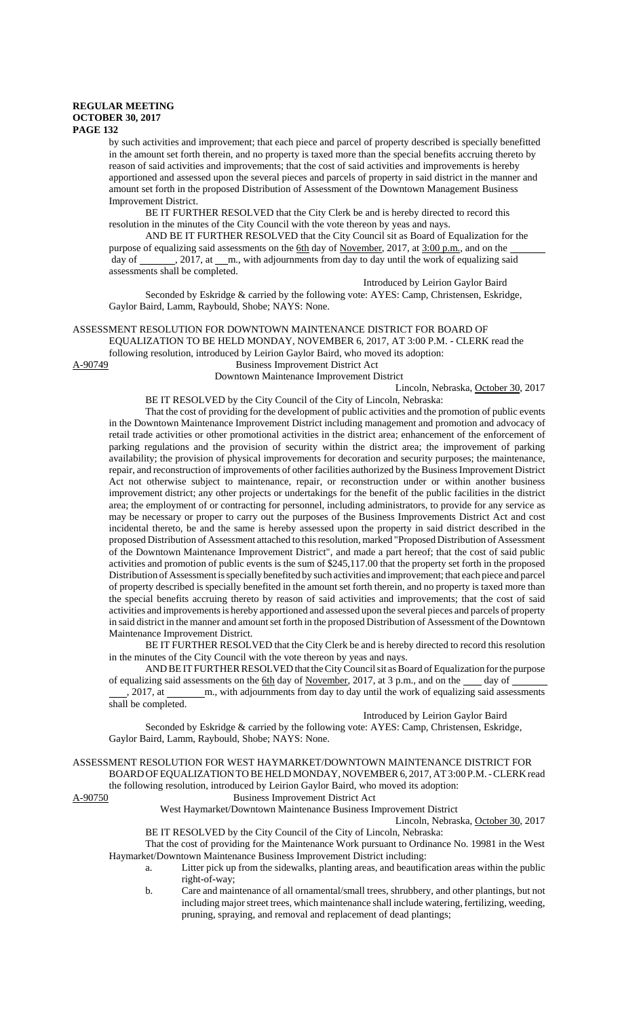by such activities and improvement; that each piece and parcel of property described is specially benefitted in the amount set forth therein, and no property is taxed more than the special benefits accruing thereto by reason of said activities and improvements; that the cost of said activities and improvements is hereby apportioned and assessed upon the several pieces and parcels of property in said district in the manner and amount set forth in the proposed Distribution of Assessment of the Downtown Management Business Improvement District.

BE IT FURTHER RESOLVED that the City Clerk be and is hereby directed to record this resolution in the minutes of the City Council with the vote thereon by yeas and nays.

AND BE IT FURTHER RESOLVED that the City Council sit as Board of Equalization for the purpose of equalizing said assessments on the 6th day of November, 2017, at 3:00 p.m., and on the day of \_\_\_\_\_\_\_, 2017, at \_\_m., with adjournments from day to day until the work of equalizing said assessments shall be completed.

Introduced by Leirion Gaylor Baird

Seconded by Eskridge & carried by the following vote: AYES: Camp, Christensen, Eskridge, Gaylor Baird, Lamm, Raybould, Shobe; NAYS: None.

## ASSESSMENT RESOLUTION FOR DOWNTOWN MAINTENANCE DISTRICT FOR BOARD OF

EQUALIZATION TO BE HELD MONDAY, NOVEMBER 6, 2017, AT 3:00 P.M. - CLERK read the

following resolution, introduced by Leirion Gaylor Baird, who moved its adoption:

A-90749 Business Improvement District Act Downtown Maintenance Improvement District

Lincoln, Nebraska, October 30, 2017

BE IT RESOLVED by the City Council of the City of Lincoln, Nebraska:

That the cost of providing for the development of public activities and the promotion of public events in the Downtown Maintenance Improvement District including management and promotion and advocacy of retail trade activities or other promotional activities in the district area; enhancement of the enforcement of parking regulations and the provision of security within the district area; the improvement of parking availability; the provision of physical improvements for decoration and security purposes; the maintenance, repair, and reconstruction of improvements of other facilities authorized by the Business Improvement District Act not otherwise subject to maintenance, repair, or reconstruction under or within another business improvement district; any other projects or undertakings for the benefit of the public facilities in the district area; the employment of or contracting for personnel, including administrators, to provide for any service as may be necessary or proper to carry out the purposes of the Business Improvements District Act and cost incidental thereto, be and the same is hereby assessed upon the property in said district described in the proposed Distribution of Assessment attached to this resolution, marked "Proposed Distribution of Assessment of the Downtown Maintenance Improvement District", and made a part hereof; that the cost of said public activities and promotion of public events is the sum of \$245,117.00 that the property set forth in the proposed Distribution of Assessment is specially benefited by such activities and improvement; that each piece and parcel of property described is specially benefited in the amount set forth therein, and no property is taxed more than the special benefits accruing thereto by reason of said activities and improvements; that the cost of said activities and improvements is hereby apportioned and assessed upon the several pieces and parcels of property in said district in the manner and amount set forth in the proposed Distribution of Assessment of the Downtown Maintenance Improvement District.

BE IT FURTHER RESOLVED that the City Clerk be and is hereby directed to record this resolution in the minutes of the City Council with the vote thereon by yeas and nays.

AND BE IT FURTHER RESOLVED that the City Council sit as Board of Equalization for the purpose of equalizing said assessments on the 6th day of November, 2017, at 3 p.m., and on the  $\_\_\_$  day of

,  $2017$ , at m., with adjournments from day to day until the work of equalizing said assessments shall be completed.

Introduced by Leirion Gaylor Baird

Seconded by Eskridge & carried by the following vote: AYES: Camp, Christensen, Eskridge, Gaylor Baird, Lamm, Raybould, Shobe; NAYS: None.

ASSESSMENT RESOLUTION FOR WEST HAYMARKET/DOWNTOWN MAINTENANCE DISTRICT FOR BOARD OF EQUALIZATION TO BE HELD MONDAY, NOVEMBER 6, 2017, AT 3:00 P.M. - CLERK read

the following resolution, introduced by Leirion Gaylor Baird, who moved its adoption:

A-90750 Business Improvement District Act

West Haymarket/Downtown Maintenance Business Improvement District

Lincoln, Nebraska, October 30, 2017 BE IT RESOLVED by the City Council of the City of Lincoln, Nebraska:

That the cost of providing for the Maintenance Work pursuant to Ordinance No. 19981 in the West Haymarket/Downtown Maintenance Business Improvement District including:

- a. Litter pick up from the sidewalks, planting areas, and beautification areas within the public right-of-way;
- b. Care and maintenance of all ornamental/small trees, shrubbery, and other plantings, but not including major street trees, which maintenance shall include watering, fertilizing, weeding, pruning, spraying, and removal and replacement of dead plantings;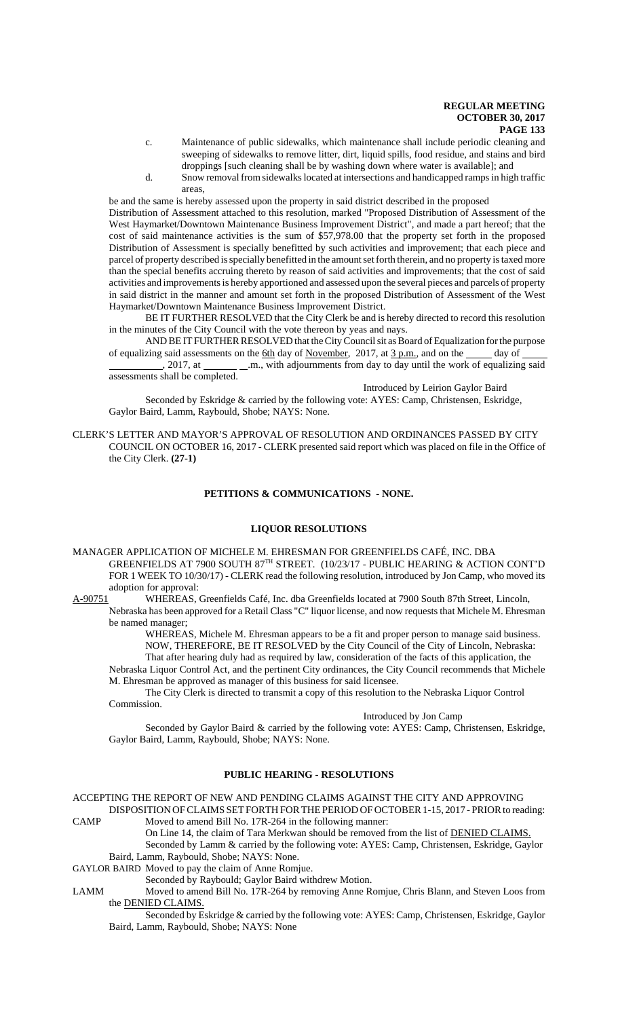- c. Maintenance of public sidewalks, which maintenance shall include periodic cleaning and sweeping of sidewalks to remove litter, dirt, liquid spills, food residue, and stains and bird droppings [such cleaning shall be by washing down where water is available]; and
- d. Snow removal from sidewalks located at intersections and handicapped ramps in high traffic areas,

be and the same is hereby assessed upon the property in said district described in the proposed

Distribution of Assessment attached to this resolution, marked "Proposed Distribution of Assessment of the West Haymarket/Downtown Maintenance Business Improvement District", and made a part hereof; that the cost of said maintenance activities is the sum of \$57,978.00 that the property set forth in the proposed Distribution of Assessment is specially benefitted by such activities and improvement; that each piece and parcel of property described is specially benefitted in the amount set forth therein, and no property is taxed more than the special benefits accruing thereto by reason of said activities and improvements; that the cost of said activities and improvements is hereby apportioned and assessed upon the several pieces and parcels of property in said district in the manner and amount set forth in the proposed Distribution of Assessment of the West Haymarket/Downtown Maintenance Business Improvement District.

BE IT FURTHER RESOLVED that the City Clerk be and is hereby directed to record this resolution in the minutes of the City Council with the vote thereon by yeas and nays.

AND BE IT FURTHER RESOLVED that the City Council sit as Board of Equalization for the purpose of equalizing said assessments on the  $\underline{6th}$  day of November, 2017, at  $\underline{3 p.m.}$ , and on the  $\underline{\hspace{1cm}}$  day of

 $2017$ , at  $\_\_\_\_\_\_\_\$  .m., with adjournments from day to day until the work of equalizing said assessments shall be completed.

Introduced by Leirion Gaylor Baird

Seconded by Eskridge & carried by the following vote: AYES: Camp, Christensen, Eskridge, Gaylor Baird, Lamm, Raybould, Shobe; NAYS: None.

CLERK'S LETTER AND MAYOR'S APPROVAL OF RESOLUTION AND ORDINANCES PASSED BY CITY COUNCIL ON OCTOBER 16, 2017 - CLERK presented said report which was placed on file in the Office of the City Clerk. **(27-1)**

# **PETITIONS & COMMUNICATIONS - NONE.**

#### **LIQUOR RESOLUTIONS**

MANAGER APPLICATION OF MICHELE M. EHRESMAN FOR GREENFIELDS CAFÉ, INC. DBA GREENFIELDS AT 7900 SOUTH 87TH STREET. (10/23/17 - PUBLIC HEARING & ACTION CONT'D FOR 1 WEEK TO 10/30/17) - CLERK read the following resolution, introduced by Jon Camp, who moved its adoption for approval:

A-90751 WHEREAS, Greenfields Café, Inc. dba Greenfields located at 7900 South 87th Street, Lincoln, Nebraska has been approved for a Retail Class "C" liquor license, and now requests that Michele M. Ehresman be named manager;

> WHEREAS, Michele M. Ehresman appears to be a fit and proper person to manage said business. NOW, THEREFORE, BE IT RESOLVED by the City Council of the City of Lincoln, Nebraska: That after hearing duly had as required by law, consideration of the facts of this application, the

Nebraska Liquor Control Act, and the pertinent City ordinances, the City Council recommends that Michele M. Ehresman be approved as manager of this business for said licensee.

The City Clerk is directed to transmit a copy of this resolution to the Nebraska Liquor Control Commission.

### Introduced by Jon Camp

Seconded by Gaylor Baird & carried by the following vote: AYES: Camp, Christensen, Eskridge, Gaylor Baird, Lamm, Raybould, Shobe; NAYS: None.

# **PUBLIC HEARING - RESOLUTIONS**

ACCEPTING THE REPORT OF NEW AND PENDING CLAIMS AGAINST THE CITY AND APPROVING DISPOSITION OF CLAIMS SET FORTH FOR THE PERIOD OF OCTOBER 1-15, 2017 - PRIOR to reading:

- CAMP Moved to amend Bill No. 17R-264 in the following manner: On Line 14, the claim of Tara Merkwan should be removed from the list of DENIED CLAIMS. Seconded by Lamm & carried by the following vote: AYES: Camp, Christensen, Eskridge, Gaylor
	- Baird, Lamm, Raybould, Shobe; NAYS: None.
- GAYLOR BAIRD Moved to pay the claim of Anne Romjue.
	- Seconded by Raybould; Gaylor Baird withdrew Motion.
- LAMM Moved to amend Bill No. 17R-264 by removing Anne Romjue, Chris Blann, and Steven Loos from the DENIED CLAIMS.
	- Seconded by Eskridge & carried by the following vote: AYES: Camp, Christensen, Eskridge, Gaylor Baird, Lamm, Raybould, Shobe; NAYS: None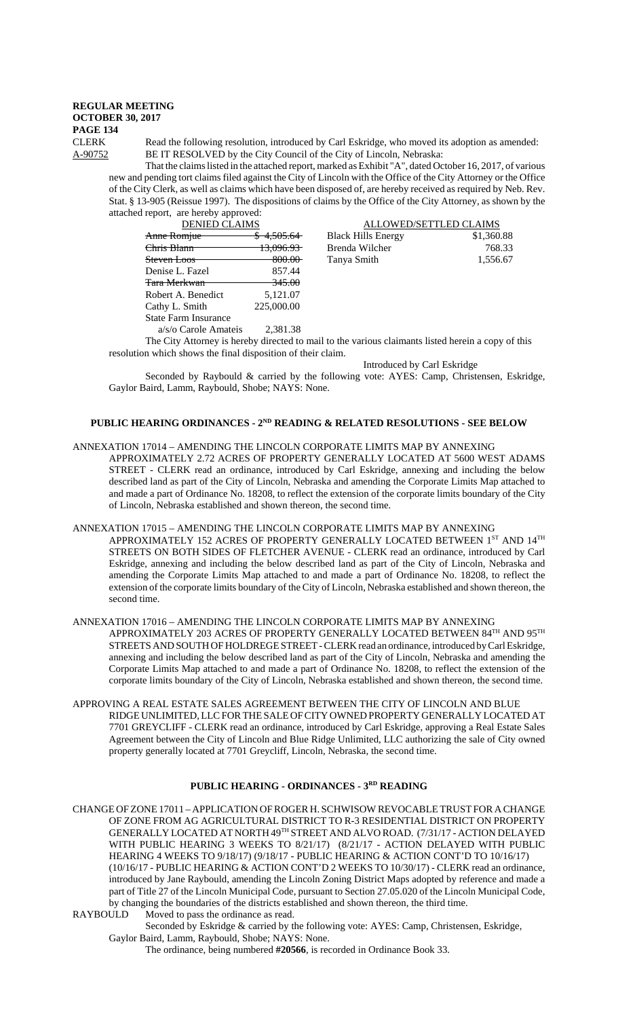CLERK Read the following resolution, introduced by Carl Eskridge, who moved its adoption as amended: A-90752 BE IT RESOLVED by the City Council of the City of Lincoln, Nebraska:

Black Hills Energy

Tanya Smith

That the claims listed in the attached report, marked as Exhibit "A", dated October 16, 2017, of various new and pending tort claims filed against the City of Lincoln with the Office of the City Attorney or the Office of the City Clerk, as well as claims which have been disposed of, are hereby received as required by Neb. Rev. Stat. § 13-905 (Reissue 1997). The dispositions of claims by the Office of the City Attorney, as shown by the attached report, are hereby approved: ALLOWED/SETTLED CLAIMS<br>ills Energy \$1.360.88

| <b>DENIED CLAIMS</b>        |                       |
|-----------------------------|-----------------------|
| Anne Romjue                 | <del>4.505.64</del>   |
| <del>Chris Blann</del>      | <del>13.096.93-</del> |
| <del>Steven Loos</del>      | 800.00-               |
| Denise L. Fazel             | 857.44                |
| <del>Tara Merkwan</del>     | 345.00                |
| Robert A. Benedict          | 5,121.07              |
| Cathy L. Smith              | 225,000.00            |
| <b>State Farm Insurance</b> |                       |
|                             |                       |

a/s/o Carole Amateis 2,381.38

The City Attorney is hereby directed to mail to the various claimants listed herein a copy of this resolution which shows the final disposition of their claim.

Introduced by Carl Eskridge

Brenda Wilcher 768.33<br>
Tanya Smith 1,556.67

Seconded by Raybould & carried by the following vote: AYES: Camp, Christensen, Eskridge, Gaylor Baird, Lamm, Raybould, Shobe; NAYS: None.

# **PUBLIC HEARING ORDINANCES - 2ND READING & RELATED RESOLUTIONS - SEE BELOW**

## ANNEXATION 17014 – AMENDING THE LINCOLN CORPORATE LIMITS MAP BY ANNEXING

APPROXIMATELY 2.72 ACRES OF PROPERTY GENERALLY LOCATED AT 5600 WEST ADAMS STREET - CLERK read an ordinance, introduced by Carl Eskridge, annexing and including the below described land as part of the City of Lincoln, Nebraska and amending the Corporate Limits Map attached to and made a part of Ordinance No. 18208, to reflect the extension of the corporate limits boundary of the City of Lincoln, Nebraska established and shown thereon, the second time.

#### ANNEXATION 17015 – AMENDING THE LINCOLN CORPORATE LIMITS MAP BY ANNEXING

APPROXIMATELY 152 ACRES OF PROPERTY GENERALLY LOCATED BETWEEN 1ST AND 14TH STREETS ON BOTH SIDES OF FLETCHER AVENUE - CLERK read an ordinance, introduced by Carl Eskridge, annexing and including the below described land as part of the City of Lincoln, Nebraska and amending the Corporate Limits Map attached to and made a part of Ordinance No. 18208, to reflect the extension of the corporate limits boundary of the City of Lincoln, Nebraska established and shown thereon, the second time.

### ANNEXATION 17016 – AMENDING THE LINCOLN CORPORATE LIMITS MAP BY ANNEXING APPROXIMATELY 203 ACRES OF PROPERTY GENERALLY LOCATED BETWEEN  $84^{\mathrm{TH}}$  AND  $95^{\mathrm{TH}}$ STREETS AND SOUTH OF HOLDREGE STREET - CLERK read an ordinance, introduced by Carl Eskridge, annexing and including the below described land as part of the City of Lincoln, Nebraska and amending the Corporate Limits Map attached to and made a part of Ordinance No. 18208, to reflect the extension of the corporate limits boundary of the City of Lincoln, Nebraska established and shown thereon, the second time.

APPROVING A REAL ESTATE SALES AGREEMENT BETWEEN THE CITY OF LINCOLN AND BLUE RIDGE UNLIMITED, LLC FOR THE SALE OF CITY OWNED PROPERTY GENERALLY LOCATED AT 7701 GREYCLIFF - CLERK read an ordinance, introduced by Carl Eskridge, approving a Real Estate Sales Agreement between the City of Lincoln and Blue Ridge Unlimited, LLC authorizing the sale of City owned property generally located at 7701 Greycliff, Lincoln, Nebraska, the second time.

# **PUBLIC HEARING - ORDINANCES - 3RD READING**

CHANGE OF ZONE 17011 – APPLICATION OF ROGER H. SCHWISOW REVOCABLE TRUST FOR A CHANGE OF ZONE FROM AG AGRICULTURAL DISTRICT TO R-3 RESIDENTIAL DISTRICT ON PROPERTY GENERALLY LOCATED AT NORTH 49TH STREET AND ALVO ROAD. (7/31/17 - ACTION DELAYED WITH PUBLIC HEARING 3 WEEKS TO 8/21/17) (8/21/17 - ACTION DELAYED WITH PUBLIC HEARING 4 WEEKS TO 9/18/17) (9/18/17 - PUBLIC HEARING & ACTION CONT'D TO 10/16/17) (10/16/17 - PUBLIC HEARING & ACTION CONT'D 2 WEEKS TO 10/30/17) - CLERK read an ordinance, introduced by Jane Raybould, amending the Lincoln Zoning District Maps adopted by reference and made a part of Title 27 of the Lincoln Municipal Code, pursuant to Section 27.05.020 of the Lincoln Municipal Code, by changing the boundaries of the districts established and shown thereon, the third time.

RAYBOULD Moved to pass the ordinance as read.

Seconded by Eskridge & carried by the following vote: AYES: Camp, Christensen, Eskridge, Gaylor Baird, Lamm, Raybould, Shobe; NAYS: None.

The ordinance, being numbered **#20566**, is recorded in Ordinance Book 33.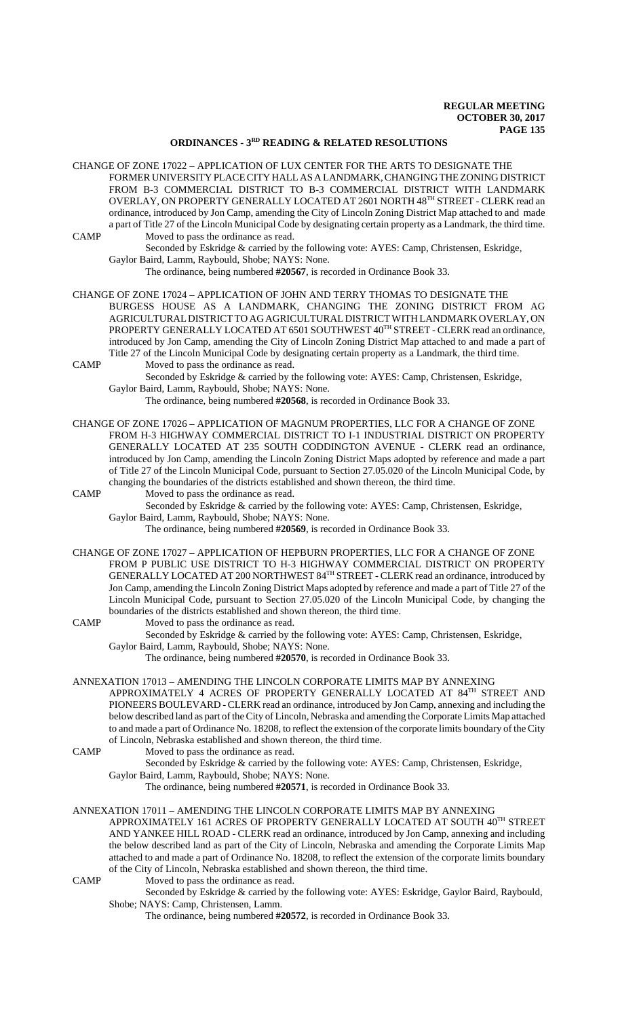## **ORDINANCES - 3RD READING & RELATED RESOLUTIONS**

- CHANGE OF ZONE 17022 APPLICATION OF LUX CENTER FOR THE ARTS TO DESIGNATE THE FORMER UNIVERSITY PLACE CITY HALL AS A LANDMARK, CHANGING THE ZONING DISTRICT FROM B-3 COMMERCIAL DISTRICT TO B-3 COMMERCIAL DISTRICT WITH LANDMARK OVERLAY, ON PROPERTY GENERALLY LOCATED AT 2601 NORTH 48TH STREET - CLERK read an ordinance, introduced by Jon Camp, amending the City of Lincoln Zoning District Map attached to and made a part of Title 27 of the Lincoln Municipal Code by designating certain property as a Landmark, the third time. CAMP Moved to pass the ordinance as read.
	- Seconded by Eskridge & carried by the following vote: AYES: Camp, Christensen, Eskridge, Gaylor Baird, Lamm, Raybould, Shobe; NAYS: None.
		- The ordinance, being numbered **#20567**, is recorded in Ordinance Book 33.
- CHANGE OF ZONE 17024 APPLICATION OF JOHN AND TERRY THOMAS TO DESIGNATE THE BURGESS HOUSE AS A LANDMARK, CHANGING THE ZONING DISTRICT FROM AG AGRICULTURAL DISTRICT TO AG AGRICULTURAL DISTRICT WITH LANDMARK OVERLAY, ON PROPERTY GENERALLY LOCATED AT 6501 SOUTHWEST 40TH STREET - CLERK read an ordinance, introduced by Jon Camp, amending the City of Lincoln Zoning District Map attached to and made a part of Title 27 of the Lincoln Municipal Code by designating certain property as a Landmark, the third time. CAMP Moved to pass the ordinance as read.
	- Seconded by Eskridge & carried by the following vote: AYES: Camp, Christensen, Eskridge, Gaylor Baird, Lamm, Raybould, Shobe; NAYS: None.
		- The ordinance, being numbered **#20568**, is recorded in Ordinance Book 33.
- CHANGE OF ZONE 17026 APPLICATION OF MAGNUM PROPERTIES, LLC FOR A CHANGE OF ZONE FROM H-3 HIGHWAY COMMERCIAL DISTRICT TO I-1 INDUSTRIAL DISTRICT ON PROPERTY GENERALLY LOCATED AT 235 SOUTH CODDINGTON AVENUE - CLERK read an ordinance, introduced by Jon Camp, amending the Lincoln Zoning District Maps adopted by reference and made a part of Title 27 of the Lincoln Municipal Code, pursuant to Section 27.05.020 of the Lincoln Municipal Code, by changing the boundaries of the districts established and shown thereon, the third time.

CAMP Moved to pass the ordinance as read.

Seconded by Eskridge & carried by the following vote: AYES: Camp, Christensen, Eskridge, Gaylor Baird, Lamm, Raybould, Shobe; NAYS: None.

- The ordinance, being numbered **#20569**, is recorded in Ordinance Book 33.
- CHANGE OF ZONE 17027 APPLICATION OF HEPBURN PROPERTIES, LLC FOR A CHANGE OF ZONE FROM P PUBLIC USE DISTRICT TO H-3 HIGHWAY COMMERCIAL DISTRICT ON PROPERTY GENERALLY LOCATED AT 200 NORTHWEST 84TH STREET - CLERK read an ordinance, introduced by Jon Camp, amending the Lincoln Zoning District Maps adopted by reference and made a part of Title 27 of the Lincoln Municipal Code, pursuant to Section 27.05.020 of the Lincoln Municipal Code, by changing the boundaries of the districts established and shown thereon, the third time.
- CAMP Moved to pass the ordinance as read. Seconded by Eskridge & carried by the following vote: AYES: Camp, Christensen, Eskridge, Gaylor Baird, Lamm, Raybould, Shobe; NAYS: None. The ordinance, being numbered **#20570**, is recorded in Ordinance Book 33.
- ANNEXATION 17013 AMENDING THE LINCOLN CORPORATE LIMITS MAP BY ANNEXING APPROXIMATELY 4 ACRES OF PROPERTY GENERALLY LOCATED AT 84TH STREET AND PIONEERS BOULEVARD - CLERK read an ordinance, introduced by Jon Camp, annexing and including the below described land as part of the City of Lincoln, Nebraska and amending the Corporate Limits Map attached to and made a part of Ordinance No. 18208, to reflect the extension of the corporate limits boundary of the City of Lincoln, Nebraska established and shown thereon, the third time.
- CAMP Moved to pass the ordinance as read.
	- Seconded by Eskridge & carried by the following vote: AYES: Camp, Christensen, Eskridge,
	- Gaylor Baird, Lamm, Raybould, Shobe; NAYS: None.
		- The ordinance, being numbered **#20571**, is recorded in Ordinance Book 33.

## ANNEXATION 17011 – AMENDING THE LINCOLN CORPORATE LIMITS MAP BY ANNEXING

APPROXIMATELY 161 ACRES OF PROPERTY GENERALLY LOCATED AT SOUTH 40TH STREET AND YANKEE HILL ROAD - CLERK read an ordinance, introduced by Jon Camp, annexing and including the below described land as part of the City of Lincoln, Nebraska and amending the Corporate Limits Map attached to and made a part of Ordinance No. 18208, to reflect the extension of the corporate limits boundary of the City of Lincoln, Nebraska established and shown thereon, the third time. CAMP Moved to pass the ordinance as read.

Seconded by Eskridge & carried by the following vote: AYES: Eskridge, Gaylor Baird, Raybould, Shobe; NAYS: Camp, Christensen, Lamm.

The ordinance, being numbered **#20572**, is recorded in Ordinance Book 33.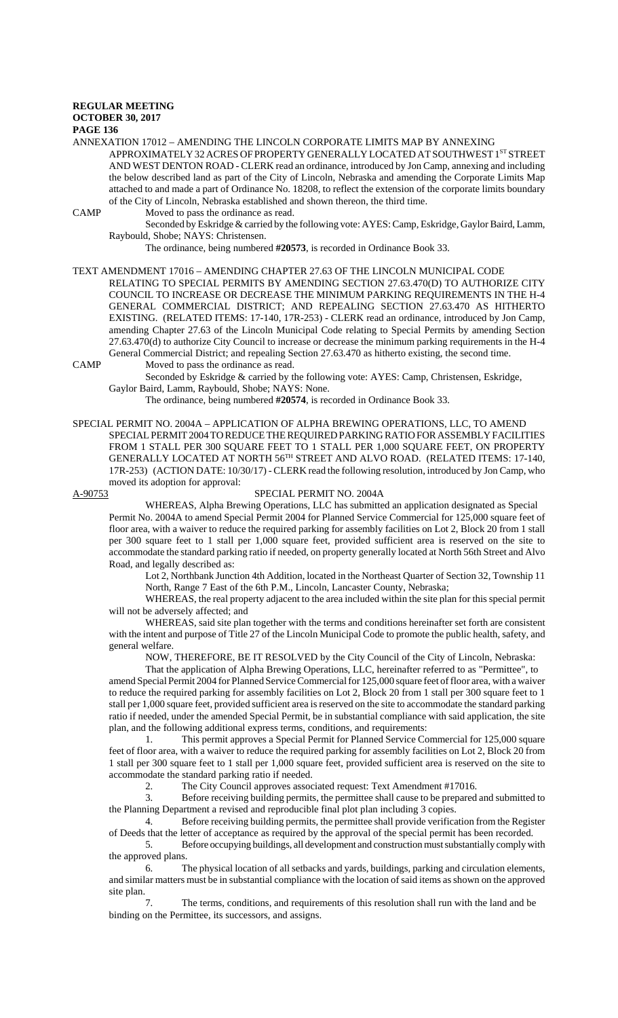#### **REGULAR MEETING OCTOBER 30, 2017**

### **PAGE 136**

ANNEXATION 17012 – AMENDING THE LINCOLN CORPORATE LIMITS MAP BY ANNEXING APPROXIMATELY 32 ACRES OF PROPERTY GENERALLY LOCATED AT SOUTHWEST 1ST STREET AND WEST DENTON ROAD - CLERK read an ordinance, introduced by Jon Camp, annexing and including the below described land as part of the City of Lincoln, Nebraska and amending the Corporate Limits Map attached to and made a part of Ordinance No. 18208, to reflect the extension of the corporate limits boundary of the City of Lincoln, Nebraska established and shown thereon, the third time.

CAMP Moved to pass the ordinance as read.

Seconded by Eskridge & carried by the following vote: AYES: Camp, Eskridge, Gaylor Baird, Lamm, Raybould, Shobe; NAYS: Christensen.

The ordinance, being numbered **#20573**, is recorded in Ordinance Book 33.

TEXT AMENDMENT 17016 – AMENDING CHAPTER 27.63 OF THE LINCOLN MUNICIPAL CODE RELATING TO SPECIAL PERMITS BY AMENDING SECTION 27.63.470(D) TO AUTHORIZE CITY COUNCIL TO INCREASE OR DECREASE THE MINIMUM PARKING REQUIREMENTS IN THE H-4 GENERAL COMMERCIAL DISTRICT; AND REPEALING SECTION 27.63.470 AS HITHERTO EXISTING. (RELATED ITEMS: 17-140, 17R-253) - CLERK read an ordinance, introduced by Jon Camp, amending Chapter 27.63 of the Lincoln Municipal Code relating to Special Permits by amending Section 27.63.470(d) to authorize City Council to increase or decrease the minimum parking requirements in the H-4 General Commercial District; and repealing Section 27.63.470 as hitherto existing, the second time.

CAMP Moved to pass the ordinance as read.

Seconded by Eskridge & carried by the following vote: AYES: Camp, Christensen, Eskridge, Gaylor Baird, Lamm, Raybould, Shobe; NAYS: None.

The ordinance, being numbered **#20574**, is recorded in Ordinance Book 33.

SPECIAL PERMIT NO. 2004A – APPLICATION OF ALPHA BREWING OPERATIONS, LLC, TO AMEND SPECIAL PERMIT 2004 TO REDUCE THE REQUIRED PARKING RATIO FOR ASSEMBLY FACILITIES FROM 1 STALL PER 300 SQUARE FEET TO 1 STALL PER 1,000 SQUARE FEET, ON PROPERTY GENERALLY LOCATED AT NORTH 56TH STREET AND ALVO ROAD. (RELATED ITEMS: 17-140, 17R-253) (ACTION DATE: 10/30/17) - CLERK read the following resolution, introduced by Jon Camp, who moved its adoption for approval:

### A-90753 SPECIAL PERMIT NO. 2004A

WHEREAS, Alpha Brewing Operations, LLC has submitted an application designated as Special Permit No. 2004A to amend Special Permit 2004 for Planned Service Commercial for 125,000 square feet of floor area, with a waiver to reduce the required parking for assembly facilities on Lot 2, Block 20 from 1 stall per 300 square feet to 1 stall per 1,000 square feet, provided sufficient area is reserved on the site to accommodate the standard parking ratio if needed, on property generally located at North 56th Street and Alvo Road, and legally described as:

Lot 2, Northbank Junction 4th Addition, located in the Northeast Quarter of Section 32, Township 11 North, Range 7 East of the 6th P.M., Lincoln, Lancaster County, Nebraska;

WHEREAS, the real property adjacent to the area included within the site plan for this special permit will not be adversely affected; and

WHEREAS, said site plan together with the terms and conditions hereinafter set forth are consistent with the intent and purpose of Title 27 of the Lincoln Municipal Code to promote the public health, safety, and general welfare.

NOW, THEREFORE, BE IT RESOLVED by the City Council of the City of Lincoln, Nebraska:

That the application of Alpha Brewing Operations, LLC, hereinafter referred to as "Permittee", to amend Special Permit 2004 for Planned Service Commercial for 125,000 square feet of floor area, with a waiver to reduce the required parking for assembly facilities on Lot 2, Block 20 from 1 stall per 300 square feet to 1 stall per 1,000 square feet, provided sufficient area is reserved on the site to accommodate the standard parking ratio if needed, under the amended Special Permit, be in substantial compliance with said application, the site plan, and the following additional express terms, conditions, and requirements:

1. This permit approves a Special Permit for Planned Service Commercial for 125,000 square feet of floor area, with a waiver to reduce the required parking for assembly facilities on Lot 2, Block 20 from 1 stall per 300 square feet to 1 stall per 1,000 square feet, provided sufficient area is reserved on the site to accommodate the standard parking ratio if needed.

2. The City Council approves associated request: Text Amendment #17016.<br>3. Before receiving building permits, the permittee shall cause to be prepared

3. Before receiving building permits, the permittee shall cause to be prepared and submitted to the Planning Department a revised and reproducible final plot plan including 3 copies.

4. Before receiving building permits, the permittee shall provide verification from the Register of Deeds that the letter of acceptance as required by the approval of the special permit has been recorded.

5. Before occupying buildings, all development and construction must substantially comply with the approved plans.

6. The physical location of all setbacks and yards, buildings, parking and circulation elements, and similar matters must be in substantial compliance with the location of said items as shown on the approved site plan.

7. The terms, conditions, and requirements of this resolution shall run with the land and be binding on the Permittee, its successors, and assigns.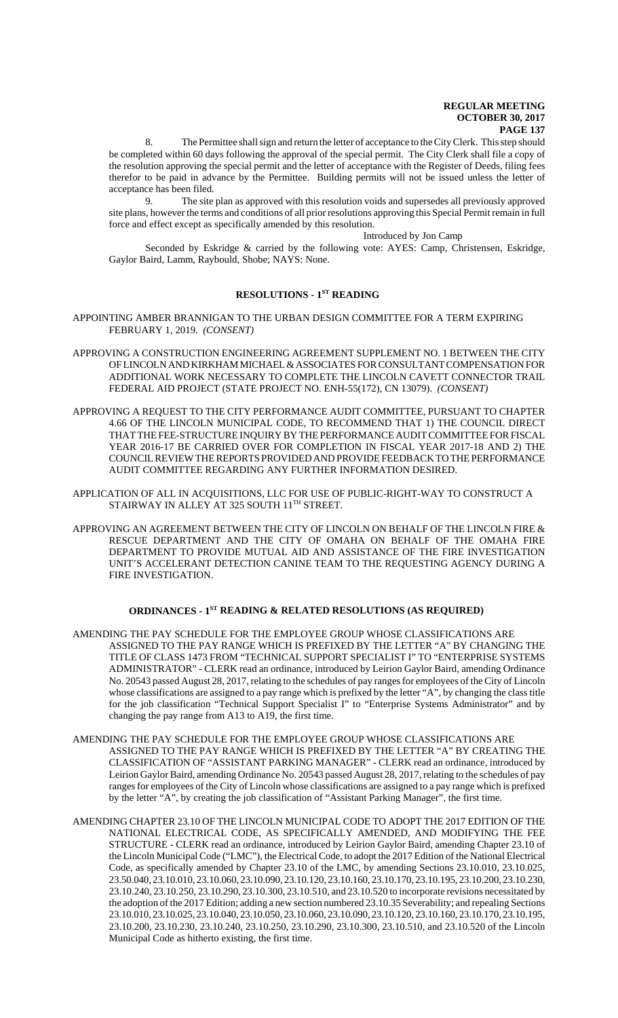The Permittee shall sign and return the letter of acceptance to the City Clerk. This step should be completed within 60 days following the approval of the special permit. The City Clerk shall file a copy of the resolution approving the special permit and the letter of acceptance with the Register of Deeds, filing fees therefor to be paid in advance by the Permittee. Building permits will not be issued unless the letter of acceptance has been filed.

9. The site plan as approved with this resolution voids and supersedes all previously approved site plans, however the terms and conditions of all prior resolutions approving this Special Permit remain in full force and effect except as specifically amended by this resolution.

Introduced by Jon Camp

Seconded by Eskridge & carried by the following vote: AYES: Camp, Christensen, Eskridge, Gaylor Baird, Lamm, Raybould, Shobe; NAYS: None.

# **RESOLUTIONS - 1ST READING**

APPOINTING AMBER BRANNIGAN TO THE URBAN DESIGN COMMITTEE FOR A TERM EXPIRING FEBRUARY 1, 2019. *(CONSENT)*

- APPROVING A CONSTRUCTION ENGINEERING AGREEMENT SUPPLEMENT NO. 1 BETWEEN THE CITY OF LINCOLN AND KIRKHAM MICHAEL & ASSOCIATES FOR CONSULTANT COMPENSATION FOR ADDITIONAL WORK NECESSARY TO COMPLETE THE LINCOLN CAVETT CONNECTOR TRAIL FEDERAL AID PROJECT (STATE PROJECT NO. ENH-55(172), CN 13079). *(CONSENT)*
- APPROVING A REQUEST TO THE CITY PERFORMANCE AUDIT COMMITTEE, PURSUANT TO CHAPTER 4.66 OF THE LINCOLN MUNICIPAL CODE, TO RECOMMEND THAT 1) THE COUNCIL DIRECT THAT THE FEE-STRUCTURE INQUIRY BY THE PERFORMANCE AUDIT COMMITTEE FOR FISCAL YEAR 2016-17 BE CARRIED OVER FOR COMPLETION IN FISCAL YEAR 2017-18 AND 2) THE COUNCIL REVIEW THE REPORTS PROVIDED AND PROVIDE FEEDBACK TO THE PERFORMANCE AUDIT COMMITTEE REGARDING ANY FURTHER INFORMATION DESIRED.
- APPLICATION OF ALL IN ACQUISITIONS, LLC FOR USE OF PUBLIC-RIGHT-WAY TO CONSTRUCT A STAIRWAY IN ALLEY AT 325 SOUTH 11TH STREET.
- APPROVING AN AGREEMENT BETWEEN THE CITY OF LINCOLN ON BEHALF OF THE LINCOLN FIRE & RESCUE DEPARTMENT AND THE CITY OF OMAHA ON BEHALF OF THE OMAHA FIRE DEPARTMENT TO PROVIDE MUTUAL AID AND ASSISTANCE OF THE FIRE INVESTIGATION UNIT'S ACCELERANT DETECTION CANINE TEAM TO THE REQUESTING AGENCY DURING A FIRE INVESTIGATION.

### **ORDINANCES - 1ST READING & RELATED RESOLUTIONS (AS REQUIRED)**

- AMENDING THE PAY SCHEDULE FOR THE EMPLOYEE GROUP WHOSE CLASSIFICATIONS ARE ASSIGNED TO THE PAY RANGE WHICH IS PREFIXED BY THE LETTER "A" BY CHANGING THE TITLE OF CLASS 1473 FROM "TECHNICAL SUPPORT SPECIALIST I" TO "ENTERPRISE SYSTEMS ADMINISTRATOR" - CLERK read an ordinance, introduced by Leirion Gaylor Baird, amending Ordinance No. 20543 passed August 28, 2017, relating to the schedules of pay ranges for employees of the City of Lincoln whose classifications are assigned to a pay range which is prefixed by the letter "A", by changing the class title for the job classification "Technical Support Specialist I" to "Enterprise Systems Administrator" and by changing the pay range from A13 to A19, the first time.
- AMENDING THE PAY SCHEDULE FOR THE EMPLOYEE GROUP WHOSE CLASSIFICATIONS ARE ASSIGNED TO THE PAY RANGE WHICH IS PREFIXED BY THE LETTER "A" BY CREATING THE CLASSIFICATION OF "ASSISTANT PARKING MANAGER" - CLERK read an ordinance, introduced by Leirion Gaylor Baird, amending Ordinance No. 20543 passed August 28, 2017, relating to the schedules of pay ranges for employees of the City of Lincoln whose classifications are assigned to a pay range which is prefixed by the letter "A", by creating the job classification of "Assistant Parking Manager", the first time.
- AMENDING CHAPTER 23.10 OF THE LINCOLN MUNICIPAL CODE TO ADOPT THE 2017 EDITION OF THE NATIONAL ELECTRICAL CODE, AS SPECIFICALLY AMENDED, AND MODIFYING THE FEE STRUCTURE - CLERK read an ordinance, introduced by Leirion Gaylor Baird, amending Chapter 23.10 of the Lincoln Municipal Code ("LMC"), the Electrical Code, to adopt the 2017 Edition of the National Electrical Code, as specifically amended by Chapter 23.10 of the LMC, by amending Sections 23.10.010, 23.10.025, 23.50.040, 23.10.010, 23.10.060, 23.10.090, 23.10.120, 23.10.160, 23.10.170, 23.10.195, 23.10.200, 23.10.230, 23.10.240, 23.10.250, 23.10.290, 23.10.300, 23.10.510, and 23.10.520 to incorporate revisions necessitated by the adoption of the 2017 Edition; adding a new section numbered 23.10.35 Severability; and repealing Sections 23.10.010, 23.10.025, 23.10.040, 23.10.050, 23.10.060, 23.10.090, 23.10.120, 23.10.160, 23.10.170, 23.10.195, 23.10.200, 23.10.230, 23.10.240, 23.10.250, 23.10.290, 23.10.300, 23.10.510, and 23.10.520 of the Lincoln Municipal Code as hitherto existing, the first time.